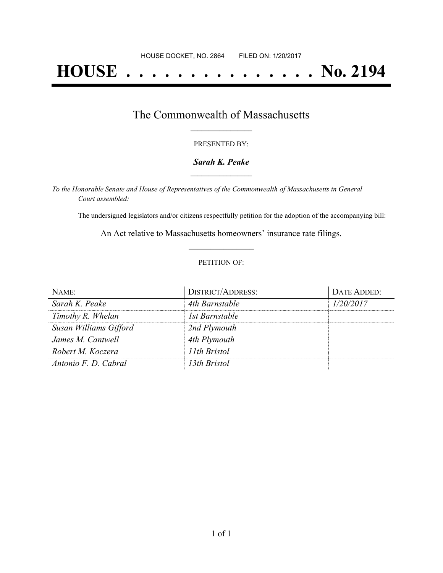# **HOUSE . . . . . . . . . . . . . . . No. 2194**

## The Commonwealth of Massachusetts **\_\_\_\_\_\_\_\_\_\_\_\_\_\_\_\_\_**

#### PRESENTED BY:

#### *Sarah K. Peake* **\_\_\_\_\_\_\_\_\_\_\_\_\_\_\_\_\_**

*To the Honorable Senate and House of Representatives of the Commonwealth of Massachusetts in General Court assembled:*

The undersigned legislators and/or citizens respectfully petition for the adoption of the accompanying bill:

An Act relative to Massachusetts homeowners' insurance rate filings. **\_\_\_\_\_\_\_\_\_\_\_\_\_\_\_**

#### PETITION OF:

| $NAME$ :               | <b>DISTRICT/ADDRESS:</b> | DATE ADDED: |
|------------------------|--------------------------|-------------|
| Sarah K. Peake         | 4th Barnstable           | 1/20/2017   |
| Timothy R. Whelan      | 1st Barnstable           |             |
| Susan Williams Gifford | 2nd Plymouth             |             |
| James M. Cantwell      | 4th Plymouth             |             |
| Robert M. Koczera      | 11th Bristol             |             |
| Antonio F. D. Cabral   | 13th Bristol             |             |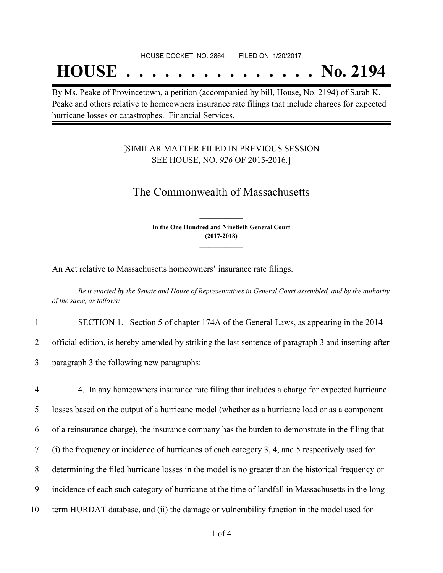## **HOUSE . . . . . . . . . . . . . . . No. 2194**

By Ms. Peake of Provincetown, a petition (accompanied by bill, House, No. 2194) of Sarah K. Peake and others relative to homeowners insurance rate filings that include charges for expected hurricane losses or catastrophes. Financial Services.

#### [SIMILAR MATTER FILED IN PREVIOUS SESSION SEE HOUSE, NO. *926* OF 2015-2016.]

### The Commonwealth of Massachusetts

**In the One Hundred and Ninetieth General Court (2017-2018) \_\_\_\_\_\_\_\_\_\_\_\_\_\_\_**

**\_\_\_\_\_\_\_\_\_\_\_\_\_\_\_**

An Act relative to Massachusetts homeowners' insurance rate filings.

Be it enacted by the Senate and House of Representatives in General Court assembled, and by the authority *of the same, as follows:*

1 SECTION 1. Section 5 of chapter 174A of the General Laws, as appearing in the 2014

2 official edition, is hereby amended by striking the last sentence of paragraph 3 and inserting after

3 paragraph 3 the following new paragraphs:

 4. In any homeowners insurance rate filing that includes a charge for expected hurricane losses based on the output of a hurricane model (whether as a hurricane load or as a component of a reinsurance charge), the insurance company has the burden to demonstrate in the filing that (i) the frequency or incidence of hurricanes of each category 3, 4, and 5 respectively used for determining the filed hurricane losses in the model is no greater than the historical frequency or incidence of each such category of hurricane at the time of landfall in Massachusetts in the long-term HURDAT database, and (ii) the damage or vulnerability function in the model used for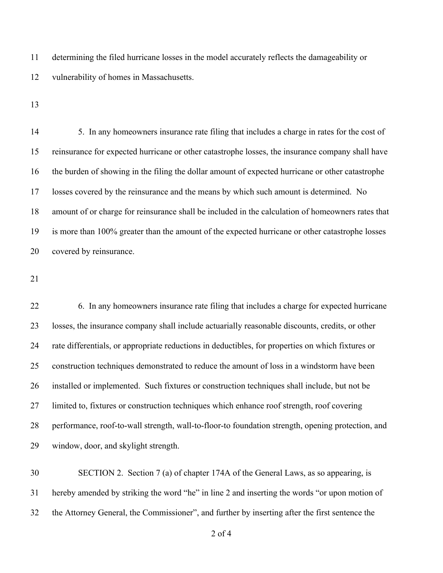determining the filed hurricane losses in the model accurately reflects the damageability or vulnerability of homes in Massachusetts.

14 5. In any homeowners insurance rate filing that includes a charge in rates for the cost of reinsurance for expected hurricane or other catastrophe losses, the insurance company shall have the burden of showing in the filing the dollar amount of expected hurricane or other catastrophe losses covered by the reinsurance and the means by which such amount is determined. No amount of or charge for reinsurance shall be included in the calculation of homeowners rates that is more than 100% greater than the amount of the expected hurricane or other catastrophe losses covered by reinsurance.

 6. In any homeowners insurance rate filing that includes a charge for expected hurricane losses, the insurance company shall include actuarially reasonable discounts, credits, or other rate differentials, or appropriate reductions in deductibles, for properties on which fixtures or construction techniques demonstrated to reduce the amount of loss in a windstorm have been installed or implemented. Such fixtures or construction techniques shall include, but not be limited to, fixtures or construction techniques which enhance roof strength, roof covering performance, roof-to-wall strength, wall-to-floor-to foundation strength, opening protection, and window, door, and skylight strength.

 SECTION 2. Section 7 (a) of chapter 174A of the General Laws, as so appearing, is hereby amended by striking the word "he" in line 2 and inserting the words "or upon motion of the Attorney General, the Commissioner", and further by inserting after the first sentence the

of 4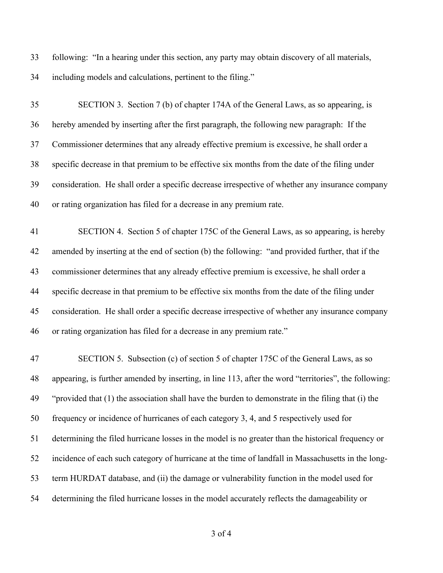following: "In a hearing under this section, any party may obtain discovery of all materials, including models and calculations, pertinent to the filing."

 SECTION 3. Section 7 (b) of chapter 174A of the General Laws, as so appearing, is hereby amended by inserting after the first paragraph, the following new paragraph: If the Commissioner determines that any already effective premium is excessive, he shall order a specific decrease in that premium to be effective six months from the date of the filing under consideration. He shall order a specific decrease irrespective of whether any insurance company or rating organization has filed for a decrease in any premium rate.

 SECTION 4. Section 5 of chapter 175C of the General Laws, as so appearing, is hereby amended by inserting at the end of section (b) the following: "and provided further, that if the commissioner determines that any already effective premium is excessive, he shall order a specific decrease in that premium to be effective six months from the date of the filing under consideration. He shall order a specific decrease irrespective of whether any insurance company or rating organization has filed for a decrease in any premium rate."

 SECTION 5. Subsection (c) of section 5 of chapter 175C of the General Laws, as so appearing, is further amended by inserting, in line 113, after the word "territories", the following: "provided that (1) the association shall have the burden to demonstrate in the filing that (i) the frequency or incidence of hurricanes of each category 3, 4, and 5 respectively used for determining the filed hurricane losses in the model is no greater than the historical frequency or incidence of each such category of hurricane at the time of landfall in Massachusetts in the long- term HURDAT database, and (ii) the damage or vulnerability function in the model used for determining the filed hurricane losses in the model accurately reflects the damageability or

of 4